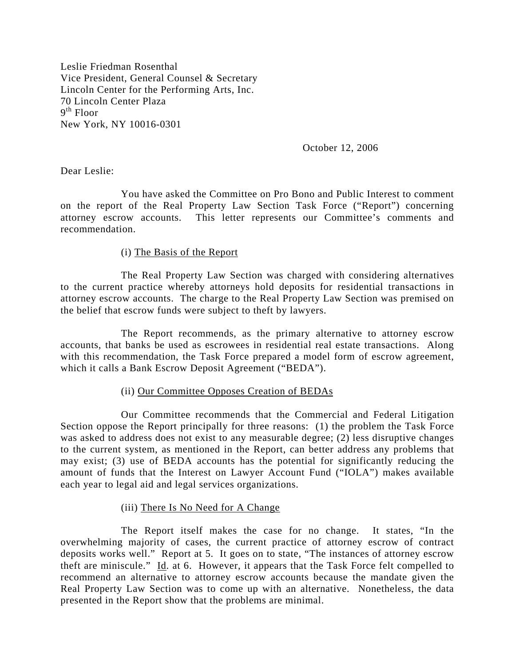Leslie Friedman Rosenthal Vice President, General Counsel & Secretary Lincoln Center for the Performing Arts, Inc. 70 Lincoln Center Plaza  $9<sup>th</sup>$  Floor New York, NY 10016-0301

October 12, 2006

Dear Leslie:

You have asked the Committee on Pro Bono and Public Interest to comment on the report of the Real Property Law Section Task Force ("Report") concerning attorney escrow accounts. This letter represents our Committee's comments and recommendation.

## (i) The Basis of the Report

The Real Property Law Section was charged with considering alternatives to the current practice whereby attorneys hold deposits for residential transactions in attorney escrow accounts. The charge to the Real Property Law Section was premised on the belief that escrow funds were subject to theft by lawyers.

The Report recommends, as the primary alternative to attorney escrow accounts, that banks be used as escrowees in residential real estate transactions. Along with this recommendation, the Task Force prepared a model form of escrow agreement, which it calls a Bank Escrow Deposit Agreement ("BEDA").

# (ii) Our Committee Opposes Creation of BEDAs

Our Committee recommends that the Commercial and Federal Litigation Section oppose the Report principally for three reasons: (1) the problem the Task Force was asked to address does not exist to any measurable degree; (2) less disruptive changes to the current system, as mentioned in the Report, can better address any problems that may exist; (3) use of BEDA accounts has the potential for significantly reducing the amount of funds that the Interest on Lawyer Account Fund ("IOLA") makes available each year to legal aid and legal services organizations.

# (iii) There Is No Need for A Change

The Report itself makes the case for no change. It states, "In the overwhelming majority of cases, the current practice of attorney escrow of contract deposits works well." Report at 5. It goes on to state, "The instances of attorney escrow theft are miniscule." Id. at 6. However, it appears that the Task Force felt compelled to recommend an alternative to attorney escrow accounts because the mandate given the Real Property Law Section was to come up with an alternative. Nonetheless, the data presented in the Report show that the problems are minimal.